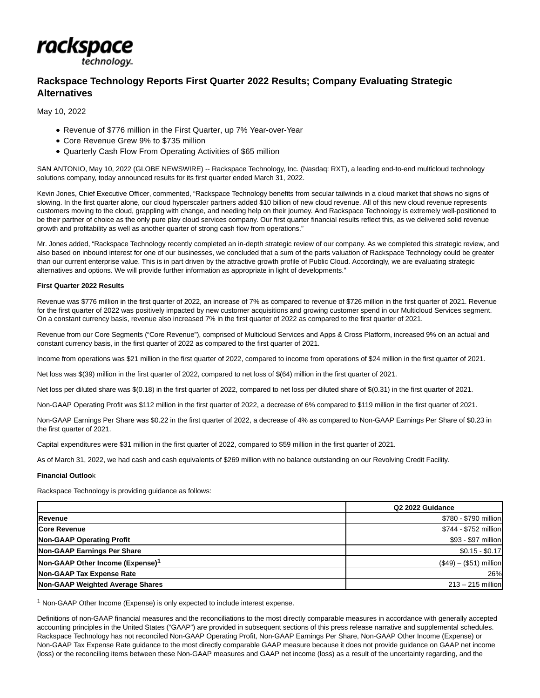

# **Rackspace Technology Reports First Quarter 2022 Results; Company Evaluating Strategic Alternatives**

May 10, 2022

- Revenue of \$776 million in the First Quarter, up 7% Year-over-Year
- Core Revenue Grew 9% to \$735 million
- Quarterly Cash Flow From Operating Activities of \$65 million

SAN ANTONIO, May 10, 2022 (GLOBE NEWSWIRE) -- Rackspace Technology, Inc. (Nasdaq: RXT), a leading end-to-end multicloud technology solutions company, today announced results for its first quarter ended March 31, 2022.

Kevin Jones, Chief Executive Officer, commented, "Rackspace Technology benefits from secular tailwinds in a cloud market that shows no signs of slowing. In the first quarter alone, our cloud hyperscaler partners added \$10 billion of new cloud revenue. All of this new cloud revenue represents customers moving to the cloud, grappling with change, and needing help on their journey. And Rackspace Technology is extremely well-positioned to be their partner of choice as the only pure play cloud services company. Our first quarter financial results reflect this, as we delivered solid revenue growth and profitability as well as another quarter of strong cash flow from operations."

Mr. Jones added, "Rackspace Technology recently completed an in-depth strategic review of our company. As we completed this strategic review, and also based on inbound interest for one of our businesses, we concluded that a sum of the parts valuation of Rackspace Technology could be greater than our current enterprise value. This is in part driven by the attractive growth profile of Public Cloud. Accordingly, we are evaluating strategic alternatives and options. We will provide further information as appropriate in light of developments."

### **First Quarter 2022 Results**

Revenue was \$776 million in the first quarter of 2022, an increase of 7% as compared to revenue of \$726 million in the first quarter of 2021. Revenue for the first quarter of 2022 was positively impacted by new customer acquisitions and growing customer spend in our Multicloud Services segment. On a constant currency basis, revenue also increased 7% in the first quarter of 2022 as compared to the first quarter of 2021.

Revenue from our Core Segments ("Core Revenue"), comprised of Multicloud Services and Apps & Cross Platform, increased 9% on an actual and constant currency basis, in the first quarter of 2022 as compared to the first quarter of 2021.

Income from operations was \$21 million in the first quarter of 2022, compared to income from operations of \$24 million in the first quarter of 2021.

Net loss was \$(39) million in the first quarter of 2022, compared to net loss of \$(64) million in the first quarter of 2021.

Net loss per diluted share was \$(0.18) in the first quarter of 2022, compared to net loss per diluted share of \$(0.31) in the first quarter of 2021.

Non-GAAP Operating Profit was \$112 million in the first quarter of 2022, a decrease of 6% compared to \$119 million in the first quarter of 2021.

Non-GAAP Earnings Per Share was \$0.22 in the first quarter of 2022, a decrease of 4% as compared to Non-GAAP Earnings Per Share of \$0.23 in the first quarter of 2021.

Capital expenditures were \$31 million in the first quarter of 2022, compared to \$59 million in the first quarter of 2021.

As of March 31, 2022, we had cash and cash equivalents of \$269 million with no balance outstanding on our Revolving Credit Facility.

### **Financial Outloo**k

Rackspace Technology is providing guidance as follows:

|                                              | Q2 2022 Guidance        |
|----------------------------------------------|-------------------------|
| <b>Revenue</b>                               | \$780 - \$790 million   |
| <b>Core Revenue</b>                          | \$744 - \$752 million   |
| <b>Non-GAAP Operating Profit</b>             | \$93 - \$97 million     |
| <b>Non-GAAP Earnings Per Share</b>           | $$0.15 - $0.17$         |
| Non-GAAP Other Income (Expense) <sup>1</sup> | $($49) - ($51)$ million |
| <b>Non-GAAP Tax Expense Rate</b>             | 26%                     |
| Non-GAAP Weighted Average Shares             | 213 - 215 million       |

1 Non-GAAP Other Income (Expense) is only expected to include interest expense.

Definitions of non-GAAP financial measures and the reconciliations to the most directly comparable measures in accordance with generally accepted accounting principles in the United States ("GAAP") are provided in subsequent sections of this press release narrative and supplemental schedules. Rackspace Technology has not reconciled Non-GAAP Operating Profit, Non-GAAP Earnings Per Share, Non-GAAP Other Income (Expense) or Non-GAAP Tax Expense Rate guidance to the most directly comparable GAAP measure because it does not provide guidance on GAAP net income (loss) or the reconciling items between these Non-GAAP measures and GAAP net income (loss) as a result of the uncertainty regarding, and the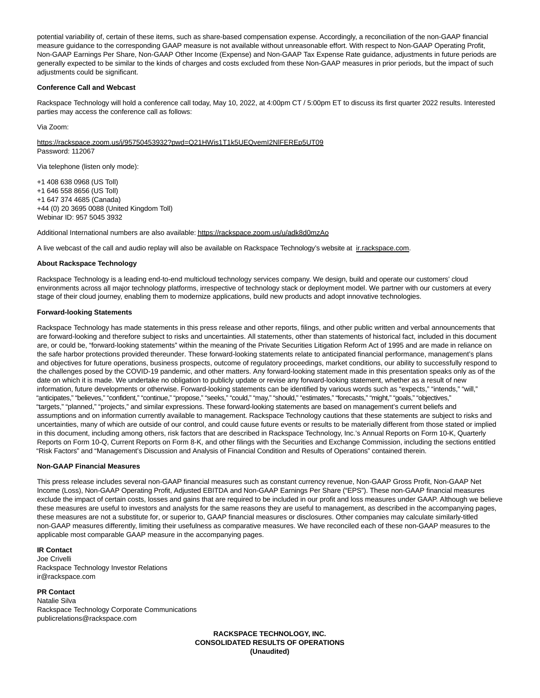potential variability of, certain of these items, such as share-based compensation expense. Accordingly, a reconciliation of the non-GAAP financial measure guidance to the corresponding GAAP measure is not available without unreasonable effort. With respect to Non-GAAP Operating Profit, Non-GAAP Earnings Per Share, Non-GAAP Other Income (Expense) and Non-GAAP Tax Expense Rate guidance, adjustments in future periods are generally expected to be similar to the kinds of charges and costs excluded from these Non-GAAP measures in prior periods, but the impact of such adjustments could be significant.

### **Conference Call and Webcast**

Rackspace Technology will hold a conference call today, May 10, 2022, at 4:00pm CT / 5:00pm ET to discuss its first quarter 2022 results. Interested parties may access the conference call as follows:

Via Zoom:

https://rackspace.zoom.us/j/95750453932?pwd=Q21HWis1T1k5UEQvemI2NlFEREp5UT09 Password: 112067

Via telephone (listen only mode):

+1 408 638 0968 (US Toll) +1 646 558 8656 (US Toll) +1 647 374 4685 (Canada) +44 (0) 20 3695 0088 (United Kingdom Toll) Webinar ID: 957 5045 3932

Additional International numbers are also available: https://rackspace.zoom.us/u/adk8d0mzAo

A live webcast of the call and audio replay will also be available on Rackspace Technology's website at intrackspace.com.

### **About Rackspace Technology**

Rackspace Technology is a leading end-to-end multicloud technology services company. We design, build and operate our customers' cloud environments across all major technology platforms, irrespective of technology stack or deployment model. We partner with our customers at every stage of their cloud journey, enabling them to modernize applications, build new products and adopt innovative technologies.

### **Forward-looking Statements**

Rackspace Technology has made statements in this press release and other reports, filings, and other public written and verbal announcements that are forward-looking and therefore subject to risks and uncertainties. All statements, other than statements of historical fact, included in this document are, or could be, "forward-looking statements" within the meaning of the Private Securities Litigation Reform Act of 1995 and are made in reliance on the safe harbor protections provided thereunder. These forward-looking statements relate to anticipated financial performance, management's plans and objectives for future operations, business prospects, outcome of regulatory proceedings, market conditions, our ability to successfully respond to the challenges posed by the COVID-19 pandemic, and other matters. Any forward-looking statement made in this presentation speaks only as of the date on which it is made. We undertake no obligation to publicly update or revise any forward-looking statement, whether as a result of new information, future developments or otherwise. Forward-looking statements can be identified by various words such as "expects," "intends," "will," "anticipates," "believes," "confident," "continue," "propose," "seeks," "could," "may," "should," "estimates," "forecasts," "might," "goals," "objectives," "targets," "planned," "projects," and similar expressions. These forward-looking statements are based on management's current beliefs and assumptions and on information currently available to management. Rackspace Technology cautions that these statements are subject to risks and uncertainties, many of which are outside of our control, and could cause future events or results to be materially different from those stated or implied in this document, including among others, risk factors that are described in Rackspace Technology, Inc.'s Annual Reports on Form 10-K, Quarterly Reports on Form 10-Q, Current Reports on Form 8-K, and other filings with the Securities and Exchange Commission, including the sections entitled "Risk Factors" and "Management's Discussion and Analysis of Financial Condition and Results of Operations" contained therein.

### **Non-GAAP Financial Measures**

This press release includes several non-GAAP financial measures such as constant currency revenue, Non-GAAP Gross Profit, Non-GAAP Net Income (Loss), Non-GAAP Operating Profit, Adjusted EBITDA and Non-GAAP Earnings Per Share ("EPS"). These non-GAAP financial measures exclude the impact of certain costs, losses and gains that are required to be included in our profit and loss measures under GAAP. Although we believe these measures are useful to investors and analysts for the same reasons they are useful to management, as described in the accompanying pages, these measures are not a substitute for, or superior to, GAAP financial measures or disclosures. Other companies may calculate similarly-titled non-GAAP measures differently, limiting their usefulness as comparative measures. We have reconciled each of these non-GAAP measures to the applicable most comparable GAAP measure in the accompanying pages.

### **IR Contact**

Joe Crivelli Rackspace Technology Investor Relations ir@rackspace.com

# **PR Contact**

Natalie Silva Rackspace Technology Corporate Communications publicrelations@rackspace.com

> **RACKSPACE TECHNOLOGY, INC. CONSOLIDATED RESULTS OF OPERATIONS (Unaudited)**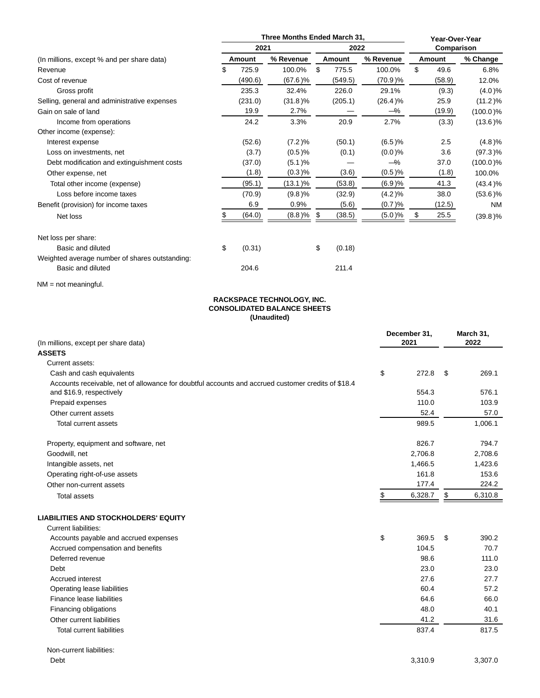|                                                | Three Months Ended March 31, |         |            |      |         |            | Year-Over-Year |        |             |  |
|------------------------------------------------|------------------------------|---------|------------|------|---------|------------|----------------|--------|-------------|--|
|                                                |                              | 2021    |            | 2022 |         |            | Comparison     |        |             |  |
| (In millions, except % and per share data)     | <b>Amount</b>                |         | % Revenue  |      | Amount  | % Revenue  |                | Amount | % Change    |  |
| Revenue                                        | \$                           | 725.9   | 100.0%     | \$   | 775.5   | 100.0%     | \$             | 49.6   | 6.8%        |  |
| Cost of revenue                                |                              | (490.6) | $(67.6)\%$ |      | (549.5) | $(70.9)$ % |                | (58.9) | 12.0%       |  |
| Gross profit                                   |                              | 235.3   | 32.4%      |      | 226.0   | 29.1%      |                | (9.3)  | $(4.0)\%$   |  |
| Selling, general and administrative expenses   |                              | (231.0) | $(31.8)\%$ |      | (205.1) | $(26.4)\%$ |                | 25.9   | $(11.2)\%$  |  |
| Gain on sale of land                           |                              | 19.9    | 2.7%       |      |         | $-\%$      |                | (19.9) | $(100.0)\%$ |  |
| Income from operations                         |                              | 24.2    | 3.3%       |      | 20.9    | 2.7%       |                | (3.3)  | $(13.6)\%$  |  |
| Other income (expense):                        |                              |         |            |      |         |            |                |        |             |  |
| Interest expense                               |                              | (52.6)  | (7.2)%     |      | (50.1)  | (6.5)%     |                | 2.5    | (4.8)%      |  |
| Loss on investments, net                       |                              | (3.7)   | $(0.5)$ %  |      | (0.1)   | $(0.0)$ %  |                | 3.6    | $(97.3)\%$  |  |
| Debt modification and extinguishment costs     |                              | (37.0)  | (5.1)%     |      |         | $-\%$      |                | 37.0   | $(100.0)\%$ |  |
| Other expense, net                             |                              | (1.8)   | $(0.3)$ %  |      | (3.6)   | $(0.5)$ %  |                | (1.8)  | 100.0%      |  |
| Total other income (expense)                   |                              | (95.1)  | $(13.1)\%$ |      | (53.8)  | (6.9)%     |                | 41.3   | (43.4)%     |  |
| Loss before income taxes                       |                              | (70.9)  | (9.8)%     |      | (32.9)  | (4.2)%     |                | 38.0   | $(53.6)\%$  |  |
| Benefit (provision) for income taxes           |                              | 6.9     | 0.9%       |      | (5.6)   | (0.7)%     |                | (12.5) | <b>NM</b>   |  |
| Net loss                                       | \$                           | (64.0)  | $(8.8)$ %  | \$   | (38.5)  | (5.0)%     |                | 25.5   | $(39.8)\%$  |  |
| Net loss per share:                            |                              |         |            |      |         |            |                |        |             |  |
| Basic and diluted                              | \$                           | (0.31)  |            | \$   | (0.18)  |            |                |        |             |  |
| Weighted average number of shares outstanding: |                              |         |            |      |         |            |                |        |             |  |
| Basic and diluted                              |                              | 204.6   |            |      | 211.4   |            |                |        |             |  |

NM = not meaningful.

# **RACKSPACE TECHNOLOGY, INC. CONSOLIDATED BALANCE SHEETS (Unaudited)**

|                                                                                                    |    | December 31,<br>2021 | March 31,<br>2022 |         |  |
|----------------------------------------------------------------------------------------------------|----|----------------------|-------------------|---------|--|
| (In millions, except per share data)<br><b>ASSETS</b>                                              |    |                      |                   |         |  |
| Current assets:                                                                                    |    |                      |                   |         |  |
| Cash and cash equivalents                                                                          | \$ | 272.8                | \$                | 269.1   |  |
| Accounts receivable, net of allowance for doubtful accounts and accrued customer credits of \$18.4 |    |                      |                   |         |  |
| and \$16.9, respectively                                                                           |    | 554.3                |                   | 576.1   |  |
| Prepaid expenses                                                                                   |    | 110.0                |                   | 103.9   |  |
| Other current assets                                                                               |    | 52.4                 |                   | 57.0    |  |
| <b>Total current assets</b>                                                                        |    | 989.5                |                   | 1,006.1 |  |
| Property, equipment and software, net                                                              |    | 826.7                |                   | 794.7   |  |
| Goodwill, net                                                                                      |    | 2,706.8              |                   | 2,708.6 |  |
| Intangible assets, net                                                                             |    | 1,466.5              |                   | 1,423.6 |  |
| Operating right-of-use assets                                                                      |    | 161.8                |                   | 153.6   |  |
| Other non-current assets                                                                           |    | 177.4                |                   | 224.2   |  |
| <b>Total assets</b>                                                                                | \$ | 6,328.7              | \$                | 6,310.8 |  |
|                                                                                                    |    |                      |                   |         |  |
| <b>LIABILITIES AND STOCKHOLDERS' EQUITY</b>                                                        |    |                      |                   |         |  |
| <b>Current liabilities:</b>                                                                        |    |                      |                   |         |  |
| Accounts payable and accrued expenses                                                              | \$ | 369.5                | \$                | 390.2   |  |
| Accrued compensation and benefits                                                                  |    | 104.5                |                   | 70.7    |  |
| Deferred revenue                                                                                   |    | 98.6                 |                   | 111.0   |  |
| Debt                                                                                               |    | 23.0                 |                   | 23.0    |  |
| <b>Accrued</b> interest                                                                            |    | 27.6                 |                   | 27.7    |  |
| Operating lease liabilities                                                                        |    | 60.4                 |                   | 57.2    |  |
| Finance lease liabilities                                                                          |    | 64.6                 |                   | 66.0    |  |
| Financing obligations                                                                              |    | 48.0                 |                   | 40.1    |  |
| Other current liabilities                                                                          |    | 41.2                 |                   | 31.6    |  |
| <b>Total current liabilities</b>                                                                   |    | 837.4                |                   | 817.5   |  |
| Non-current liabilities:                                                                           |    |                      |                   |         |  |
| Debt                                                                                               |    | 3,310.9              |                   | 3,307.0 |  |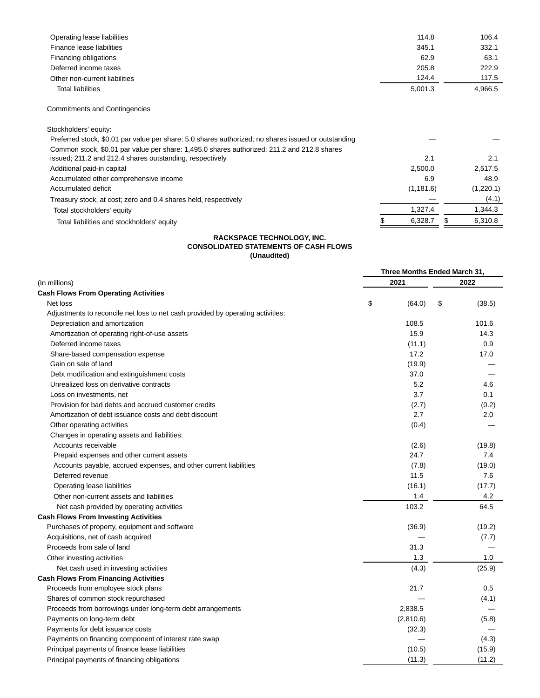| Operating lease liabilities   | 114.8   | 106.4   |
|-------------------------------|---------|---------|
| Finance lease liabilities     | 345.1   | 332.1   |
| Financing obligations         | 62.9    | 63.1    |
| Deferred income taxes         | 205.8   | 222.9   |
| Other non-current liabilities | 124.4   | 117.5   |
| Total liabilities             | 5.001.3 | 4.966.5 |

Commitments and Contingencies

Stockholders' equity:

| Preferred stock, \$0.01 par value per share: 5.0 shares authorized; no shares issued or outstanding |  |            |           |
|-----------------------------------------------------------------------------------------------------|--|------------|-----------|
| Common stock, \$0.01 par value per share: 1,495.0 shares authorized; 211.2 and 212.8 shares         |  |            |           |
| issued; 211.2 and 212.4 shares outstanding, respectively                                            |  | 2.1        | 2.1       |
| Additional paid-in capital                                                                          |  | 2.500.0    | 2,517.5   |
| Accumulated other comprehensive income                                                              |  | 6.9        | 48.9      |
| Accumulated deficit                                                                                 |  | (1, 181.6) | (1,220.1) |
| Treasury stock, at cost; zero and 0.4 shares held, respectively                                     |  |            | (4.1)     |
| Total stockholders' equity                                                                          |  | 1.327.4    | 1,344.3   |
| Total liabilities and stockholders' equity                                                          |  | 6.328.7    | 6,310.8   |

### **RACKSPACE TECHNOLOGY, INC. CONSOLIDATED STATEMENTS OF CASH FLOWS (Unaudited)**

| 2021<br>2022<br>(In millions)<br><b>Cash Flows From Operating Activities</b><br>\$<br>Net loss<br>(64.0)<br>\$<br>(38.5)<br>Adjustments to reconcile net loss to net cash provided by operating activities:<br>108.5<br>Depreciation and amortization<br>101.6<br>Amortization of operating right-of-use assets<br>15.9<br>14.3<br>Deferred income taxes<br>0.9<br>(11.1) |
|---------------------------------------------------------------------------------------------------------------------------------------------------------------------------------------------------------------------------------------------------------------------------------------------------------------------------------------------------------------------------|
|                                                                                                                                                                                                                                                                                                                                                                           |
|                                                                                                                                                                                                                                                                                                                                                                           |
|                                                                                                                                                                                                                                                                                                                                                                           |
|                                                                                                                                                                                                                                                                                                                                                                           |
|                                                                                                                                                                                                                                                                                                                                                                           |
|                                                                                                                                                                                                                                                                                                                                                                           |
|                                                                                                                                                                                                                                                                                                                                                                           |
| Share-based compensation expense<br>17.2<br>17.0                                                                                                                                                                                                                                                                                                                          |
| Gain on sale of land<br>(19.9)                                                                                                                                                                                                                                                                                                                                            |
| Debt modification and extinguishment costs<br>37.0                                                                                                                                                                                                                                                                                                                        |
| Unrealized loss on derivative contracts<br>5.2<br>4.6                                                                                                                                                                                                                                                                                                                     |
| 3.7<br>0.1<br>Loss on investments, net                                                                                                                                                                                                                                                                                                                                    |
| Provision for bad debts and accrued customer credits<br>(2.7)<br>(0.2)                                                                                                                                                                                                                                                                                                    |
| 2.7<br>Amortization of debt issuance costs and debt discount<br>2.0                                                                                                                                                                                                                                                                                                       |
| Other operating activities<br>(0.4)                                                                                                                                                                                                                                                                                                                                       |
| Changes in operating assets and liabilities:                                                                                                                                                                                                                                                                                                                              |
| Accounts receivable<br>(2.6)<br>(19.8)                                                                                                                                                                                                                                                                                                                                    |
| 24.7<br>Prepaid expenses and other current assets<br>7.4                                                                                                                                                                                                                                                                                                                  |
| (7.8)<br>(19.0)<br>Accounts payable, accrued expenses, and other current liabilities                                                                                                                                                                                                                                                                                      |
| Deferred revenue<br>11.5<br>7.6                                                                                                                                                                                                                                                                                                                                           |
| Operating lease liabilities<br>(16.1)<br>(17.7)                                                                                                                                                                                                                                                                                                                           |
| 1.4<br>4.2<br>Other non-current assets and liabilities                                                                                                                                                                                                                                                                                                                    |
| 103.2<br>64.5<br>Net cash provided by operating activities                                                                                                                                                                                                                                                                                                                |
| <b>Cash Flows From Investing Activities</b>                                                                                                                                                                                                                                                                                                                               |
| Purchases of property, equipment and software<br>(36.9)<br>(19.2)                                                                                                                                                                                                                                                                                                         |
| Acquisitions, net of cash acquired<br>(7.7)                                                                                                                                                                                                                                                                                                                               |
| Proceeds from sale of land<br>31.3                                                                                                                                                                                                                                                                                                                                        |
| 1.3<br>1.0<br>Other investing activities                                                                                                                                                                                                                                                                                                                                  |
| Net cash used in investing activities<br>(4.3)<br>(25.9)                                                                                                                                                                                                                                                                                                                  |
| <b>Cash Flows From Financing Activities</b>                                                                                                                                                                                                                                                                                                                               |
| 21.7<br>0.5<br>Proceeds from employee stock plans                                                                                                                                                                                                                                                                                                                         |
| Shares of common stock repurchased<br>(4.1)                                                                                                                                                                                                                                                                                                                               |
| 2,838.5<br>Proceeds from borrowings under long-term debt arrangements                                                                                                                                                                                                                                                                                                     |
| (2,810.6)<br>Payments on long-term debt<br>(5.8)                                                                                                                                                                                                                                                                                                                          |
| Payments for debt issuance costs<br>(32.3)                                                                                                                                                                                                                                                                                                                                |
| Payments on financing component of interest rate swap<br>(4.3)                                                                                                                                                                                                                                                                                                            |
| Principal payments of finance lease liabilities<br>(10.5)<br>(15.9)                                                                                                                                                                                                                                                                                                       |
| (11.3)<br>(11.2)<br>Principal payments of financing obligations                                                                                                                                                                                                                                                                                                           |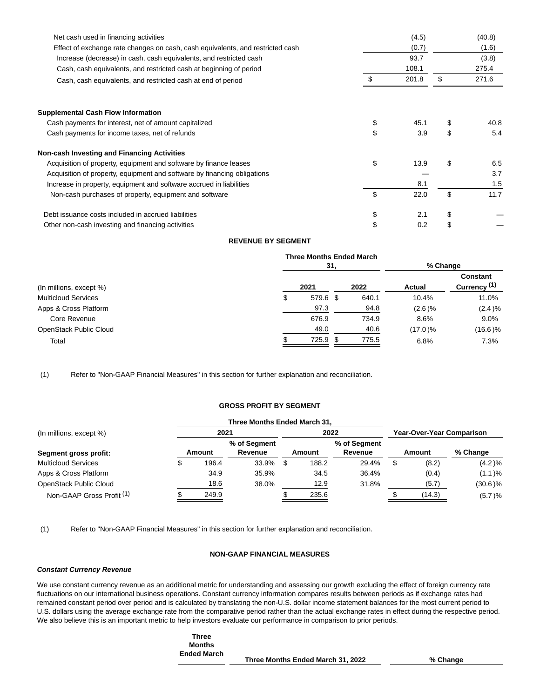| Net cash used in financing activities                                          | (4.5)      | (40.8)      |
|--------------------------------------------------------------------------------|------------|-------------|
| Effect of exchange rate changes on cash, cash equivalents, and restricted cash | (0.7)      | (1.6)       |
| Increase (decrease) in cash, cash equivalents, and restricted cash             | 93.7       | (3.8)       |
| Cash, cash equivalents, and restricted cash at beginning of period             | 108.1      | 275.4       |
| Cash, cash equivalents, and restricted cash at end of period                   | 201.8      | \$<br>271.6 |
| <b>Supplemental Cash Flow Information</b>                                      |            |             |
| Cash payments for interest, net of amount capitalized                          | \$<br>45.1 | \$<br>40.8  |
| Cash payments for income taxes, net of refunds                                 | \$<br>3.9  | \$<br>5.4   |
| <b>Non-cash Investing and Financing Activities</b>                             |            |             |
| Acquisition of property, equipment and software by finance leases              | \$<br>13.9 | \$<br>6.5   |
| Acquisition of property, equipment and software by financing obligations       |            | 3.7         |
| Increase in property, equipment and software accrued in liabilities            | 8.1        | 1.5         |
| Non-cash purchases of property, equipment and software                         | \$<br>22.0 | \$<br>11.7  |
| Debt issuance costs included in accrued liabilities                            | \$<br>2.1  | \$          |
| Other non-cash investing and financing activities                              | \$<br>0.2  | \$          |

# **REVENUE BY SEGMENT**

|                            | <b>Three Months Ended March</b> |     |       |           |                                            |  |  |  |  |  |  |
|----------------------------|---------------------------------|-----|-------|-----------|--------------------------------------------|--|--|--|--|--|--|
|                            |                                 | 31. |       |           | % Change                                   |  |  |  |  |  |  |
| (In millions, except %)    | 2021                            |     | 2022  | Actual    | <b>Constant</b><br>Currency <sup>(1)</sup> |  |  |  |  |  |  |
| <b>Multicloud Services</b> | 579.6 \$<br>\$                  |     | 640.1 | 10.4%     | 11.0%                                      |  |  |  |  |  |  |
| Apps & Cross Platform      | 97.3                            |     | 94.8  | $(2.6)\%$ | (2.4)%                                     |  |  |  |  |  |  |
| Core Revenue               | 676.9                           |     | 734.9 | 8.6%      | $9.0\%$                                    |  |  |  |  |  |  |
| OpenStack Public Cloud     | 49.0                            |     | 40.6  | (17.0)%   | $(16.6)\%$                                 |  |  |  |  |  |  |
| Total                      | 725.9 \$                        |     | 775.5 | 6.8%      | 7.3%                                       |  |  |  |  |  |  |

(1) Refer to "Non-GAAP Financial Measures" in this section for further explanation and reconciliation.

# **GROSS PROFIT BY SEGMENT**

|                            |        |       | Three Months Ended March 31, |        |       |                         |                                  |        |            |  |
|----------------------------|--------|-------|------------------------------|--------|-------|-------------------------|----------------------------------|--------|------------|--|
| (In millions, except %)    |        | 2021  |                              |        |       | 2022                    | <b>Year-Over-Year Comparison</b> |        |            |  |
| Segment gross profit:      | Amount |       | % of Segment<br>Revenue      | Amount |       | % of Segment<br>Revenue | Amount                           |        | % Change   |  |
| <b>Multicloud Services</b> |        | 196.4 | $33.9\%$ \$                  |        | 188.2 | 29.4%                   | \$                               | (8.2)  | (4.2)%     |  |
| Apps & Cross Platform      |        | 34.9  | 35.9%                        |        | 34.5  | 36.4%                   |                                  | (0.4)  | $(1.1)$ %  |  |
| OpenStack Public Cloud     |        | 18.6  | 38.0%                        |        | 12.9  | 31.8%                   |                                  | (5.7)  | $(30.6)\%$ |  |
| Non-GAAP Gross Profit (1)  |        | 249.9 |                              |        | 235.6 |                         |                                  | (14.3) | (5.7)%     |  |

(1) Refer to "Non-GAAP Financial Measures" in this section for further explanation and reconciliation.

# **NON-GAAP FINANCIAL MEASURES**

### **Constant Currency Revenue**

We use constant currency revenue as an additional metric for understanding and assessing our growth excluding the effect of foreign currency rate fluctuations on our international business operations. Constant currency information compares results between periods as if exchange rates had remained constant period over period and is calculated by translating the non-U.S. dollar income statement balances for the most current period to U.S. dollars using the average exchange rate from the comparative period rather than the actual exchange rates in effect during the respective period. We also believe this is an important metric to help investors evaluate our performance in comparison to prior periods.

| Three              |                                   |  |
|--------------------|-----------------------------------|--|
| <b>Months</b>      |                                   |  |
| <b>Ended March</b> |                                   |  |
|                    | Three Months Ended March 31, 2022 |  |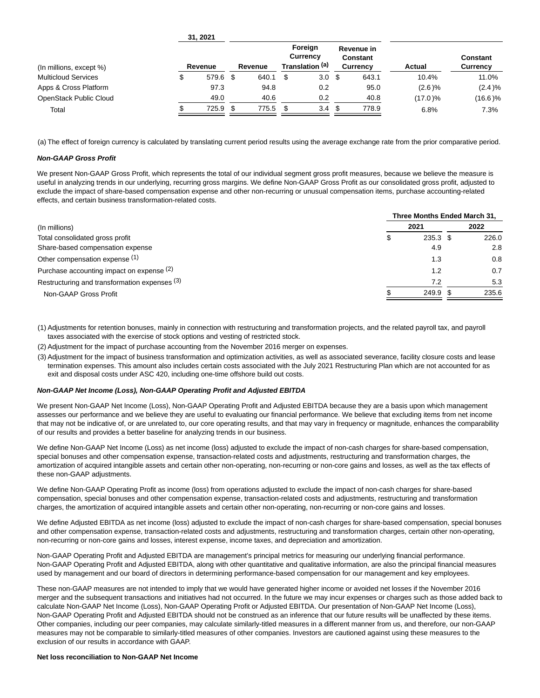|                            | 31, 2021 |    |         |                                               |     |                                                  |       |            |                             |  |
|----------------------------|----------|----|---------|-----------------------------------------------|-----|--------------------------------------------------|-------|------------|-----------------------------|--|
| (In millions, except %)    | Revenue  |    | Revenue | Foreign<br><b>Currency</b><br>Translation (a) |     | Revenue in<br><b>Constant</b><br><b>Currency</b> |       | Actual     | <b>Constant</b><br>Currency |  |
| <b>Multicloud Services</b> | 579.6    | -S | 640.1   | S                                             | 3.0 | -\$                                              | 643.1 | 10.4%      | 11.0%                       |  |
| Apps & Cross Platform      | 97.3     |    | 94.8    |                                               | 0.2 |                                                  | 95.0  | (2.6)%     | (2.4)%                      |  |
| OpenStack Public Cloud     | 49.0     |    | 40.6    |                                               | 0.2 |                                                  | 40.8  | $(17.0)$ % | $(16.6)\%$                  |  |
| Total                      | 725.9    | S  | 775.5   |                                               | 3.4 | S                                                | 778.9 | 6.8%       | 7.3%                        |  |

(a) The effect of foreign currency is calculated by translating current period results using the average exchange rate from the prior comparative period.

### **Non-GAAP Gross Profit**

We present Non-GAAP Gross Profit, which represents the total of our individual segment gross profit measures, because we believe the measure is useful in analyzing trends in our underlying, recurring gross margins. We define Non-GAAP Gross Profit as our consolidated gross profit, adjusted to exclude the impact of share-based compensation expense and other non-recurring or unusual compensation items, purchase accounting-related effects, and certain business transformation-related costs.

|                                               | Three Months Ended March 31, |  |       |  |  |  |  |
|-----------------------------------------------|------------------------------|--|-------|--|--|--|--|
| (In millions)                                 | 2021                         |  | 2022  |  |  |  |  |
| Total consolidated gross profit               | $235.3$ \$                   |  | 226.0 |  |  |  |  |
| Share-based compensation expense              | 4.9                          |  | 2.8   |  |  |  |  |
| Other compensation expense (1)                | 1.3                          |  | 0.8   |  |  |  |  |
| Purchase accounting impact on expense (2)     | 1.2                          |  | 0.7   |  |  |  |  |
| Restructuring and transformation expenses (3) | 7.2                          |  | 5.3   |  |  |  |  |
| Non-GAAP Gross Profit                         | 249.9                        |  | 235.6 |  |  |  |  |
|                                               |                              |  |       |  |  |  |  |

(1) Adjustments for retention bonuses, mainly in connection with restructuring and transformation projects, and the related payroll tax, and payroll taxes associated with the exercise of stock options and vesting of restricted stock.

(2) Adjustment for the impact of purchase accounting from the November 2016 merger on expenses.

(3) Adjustment for the impact of business transformation and optimization activities, as well as associated severance, facility closure costs and lease termination expenses. This amount also includes certain costs associated with the July 2021 Restructuring Plan which are not accounted for as exit and disposal costs under ASC 420, including one-time offshore build out costs.

#### **Non-GAAP Net Income (Loss), Non-GAAP Operating Profit and Adjusted EBITDA**

We present Non-GAAP Net Income (Loss), Non-GAAP Operating Profit and Adjusted EBITDA because they are a basis upon which management assesses our performance and we believe they are useful to evaluating our financial performance. We believe that excluding items from net income that may not be indicative of, or are unrelated to, our core operating results, and that may vary in frequency or magnitude, enhances the comparability of our results and provides a better baseline for analyzing trends in our business.

We define Non-GAAP Net Income (Loss) as net income (loss) adjusted to exclude the impact of non-cash charges for share-based compensation, special bonuses and other compensation expense, transaction-related costs and adjustments, restructuring and transformation charges, the amortization of acquired intangible assets and certain other non-operating, non-recurring or non-core gains and losses, as well as the tax effects of these non-GAAP adjustments.

We define Non-GAAP Operating Profit as income (loss) from operations adjusted to exclude the impact of non-cash charges for share-based compensation, special bonuses and other compensation expense, transaction-related costs and adjustments, restructuring and transformation charges, the amortization of acquired intangible assets and certain other non-operating, non-recurring or non-core gains and losses.

We define Adjusted EBITDA as net income (loss) adjusted to exclude the impact of non-cash charges for share-based compensation, special bonuses and other compensation expense, transaction-related costs and adjustments, restructuring and transformation charges, certain other non-operating, non-recurring or non-core gains and losses, interest expense, income taxes, and depreciation and amortization.

Non-GAAP Operating Profit and Adjusted EBITDA are management's principal metrics for measuring our underlying financial performance. Non-GAAP Operating Profit and Adjusted EBITDA, along with other quantitative and qualitative information, are also the principal financial measures used by management and our board of directors in determining performance-based compensation for our management and key employees.

These non-GAAP measures are not intended to imply that we would have generated higher income or avoided net losses if the November 2016 merger and the subsequent transactions and initiatives had not occurred. In the future we may incur expenses or charges such as those added back to calculate Non-GAAP Net Income (Loss), Non-GAAP Operating Profit or Adjusted EBITDA. Our presentation of Non-GAAP Net Income (Loss), Non-GAAP Operating Profit and Adjusted EBITDA should not be construed as an inference that our future results will be unaffected by these items. Other companies, including our peer companies, may calculate similarly-titled measures in a different manner from us, and therefore, our non-GAAP measures may not be comparable to similarly-titled measures of other companies. Investors are cautioned against using these measures to the exclusion of our results in accordance with GAAP.

# **Net loss reconciliation to Non-GAAP Net Income**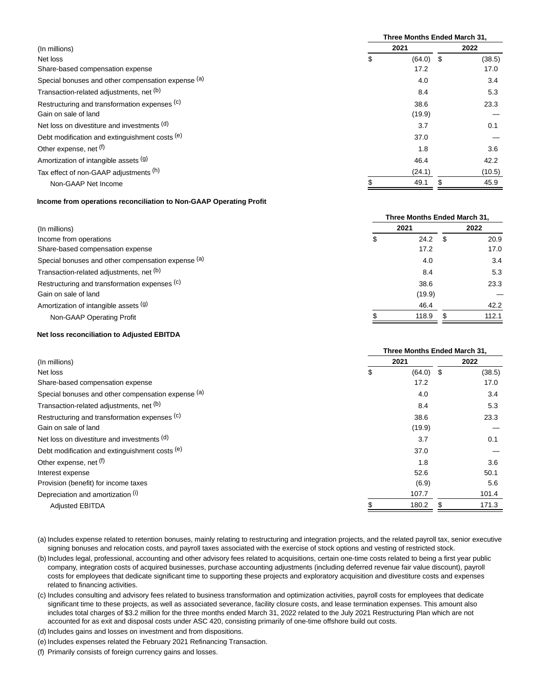|                                                    |      | Three Months Ended March 31, |      |        |  |
|----------------------------------------------------|------|------------------------------|------|--------|--|
| (In millions)                                      | 2021 |                              | 2022 |        |  |
| Net loss                                           | \$   | $(64.0)$ \$                  |      | (38.5) |  |
| Share-based compensation expense                   |      | 17.2                         |      | 17.0   |  |
| Special bonuses and other compensation expense (a) |      | 4.0                          |      | 3.4    |  |
| Transaction-related adjustments, net (b)           |      | 8.4                          |      | 5.3    |  |
| Restructuring and transformation expenses (c)      |      | 38.6                         |      | 23.3   |  |
| Gain on sale of land                               |      | (19.9)                       |      |        |  |
| Net loss on divestiture and investments (d)        |      | 3.7                          |      | 0.1    |  |
| Debt modification and extinguishment costs (e)     |      | 37.0                         |      |        |  |
| Other expense, net (f)                             |      | 1.8                          |      | 3.6    |  |
| Amortization of intangible assets (g)              |      | 46.4                         |      | 42.2   |  |
| Tax effect of non-GAAP adjustments (h)             |      | (24.1)                       |      | (10.5) |  |
| Non-GAAP Net Income                                |      | 49.1                         | \$.  | 45.9   |  |

# **Income from operations reconciliation to Non-GAAP Operating Profit**

|                                                    | Three Months Ended March 31, |        |      |       |
|----------------------------------------------------|------------------------------|--------|------|-------|
| (In millions)                                      | 2021                         |        | 2022 |       |
| Income from operations                             | \$                           | 24.2   | \$.  | 20.9  |
| Share-based compensation expense                   |                              | 17.2   |      | 17.0  |
| Special bonuses and other compensation expense (a) |                              | 4.0    |      | 3.4   |
| Transaction-related adjustments, net (b)           |                              | 8.4    |      | 5.3   |
| Restructuring and transformation expenses (c)      |                              | 38.6   |      | 23.3  |
| Gain on sale of land                               |                              | (19.9) |      |       |
| Amortization of intangible assets (9)              |                              | 46.4   |      | 42.2  |
| Non-GAAP Operating Profit                          |                              | 118.9  |      | 112.1 |

# **Net loss reconciliation to Adjusted EBITDA**

| Three Months Ended March 31, |             |  |  |
|------------------------------|-------------|--|--|
| 2021                         |             |  |  |
|                              | (38.5)      |  |  |
| 17.2                         | 17.0        |  |  |
| 4.0                          | 3.4         |  |  |
| 8.4                          | 5.3         |  |  |
| 38.6                         | 23.3        |  |  |
| (19.9)                       |             |  |  |
| 3.7                          | 0.1         |  |  |
| 37.0                         |             |  |  |
| 1.8                          | 3.6         |  |  |
| 52.6                         | 50.1        |  |  |
| (6.9)                        | 5.6         |  |  |
| 107.7                        | 101.4       |  |  |
| 180.2                        | 171.3       |  |  |
|                              | $(64.0)$ \$ |  |  |

(a) Includes expense related to retention bonuses, mainly relating to restructuring and integration projects, and the related payroll tax, senior executive signing bonuses and relocation costs, and payroll taxes associated with the exercise of stock options and vesting of restricted stock.

- (b) Includes legal, professional, accounting and other advisory fees related to acquisitions, certain one-time costs related to being a first year public company, integration costs of acquired businesses, purchase accounting adjustments (including deferred revenue fair value discount), payroll costs for employees that dedicate significant time to supporting these projects and exploratory acquisition and divestiture costs and expenses related to financing activities.
- (c) Includes consulting and advisory fees related to business transformation and optimization activities, payroll costs for employees that dedicate significant time to these projects, as well as associated severance, facility closure costs, and lease termination expenses. This amount also includes total charges of \$3.2 million for the three months ended March 31, 2022 related to the July 2021 Restructuring Plan which are not accounted for as exit and disposal costs under ASC 420, consisting primarily of one-time offshore build out costs.
- (d) Includes gains and losses on investment and from dispositions.
- (e) Includes expenses related the February 2021 Refinancing Transaction.
- (f) Primarily consists of foreign currency gains and losses.